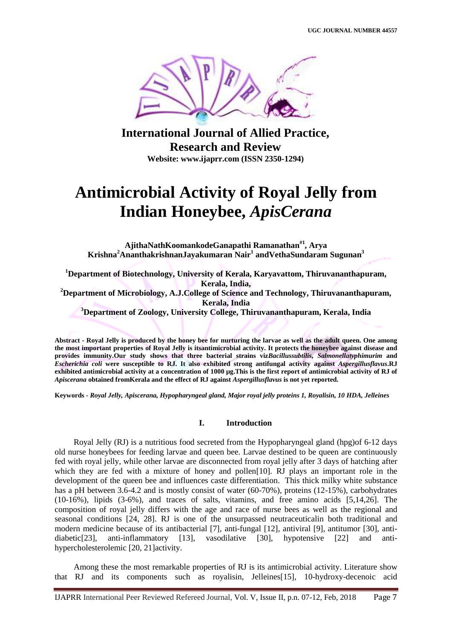

**International Journal of Allied Practice, Research and Review Website: www.ijaprr.com (ISSN 2350-1294)**

# **Antimicrobial Activity of Royal Jelly from Indian Honeybee,** *ApisCerana*

**AjithaNathKoomankodeGanapathi Ramanathan#1 , Arya Krishna<sup>2</sup>AnanthakrishnanJayakumaran Nair<sup>1</sup> andVethaSundaram Sugunan<sup>3</sup>**

**<sup>1</sup>Department of Biotechnology, University of Kerala, Karyavattom, Thiruvananthapuram, Kerala, India, <sup>2</sup>Department of Microbiology, A.J.College of Science and Technology, Thiruvananthapuram, Kerala, India**

**<sup>3</sup>Department of Zoology, University College, Thiruvananthapuram, Kerala, India**

**Abstract - Royal Jelly is produced by the honey bee for nurturing the larvae as well as the adult queen. One among the most important properties of Royal Jelly is itsantimicrobial activity. It protects the honeybee against disease and provides immunity.Our study shows that three bacterial strains viz***Bacillussubtilis***,** *Salmonellatyphimurim* **and**  *Escherichia coli* **were susceptible to RJ. It also exhibited strong antifungal activity against** *Aspergillusflavus***.RJ**  exhibited antimicrobial activity at a concentration of 1000 µg. This is the first report of antimicrobial activity of RJ of *Apiscerana* **obtained fromKerala and the effect of RJ against** *Aspergillusflavus* **is not yet reported.**

**Keywords -** *Royal Jelly, Apiscerana, Hypopharyngeal gland, Major royal jelly proteins 1, Royalisin, 10 HDA, Jelleines*

## **I. Introduction**

Royal Jelly (RJ) is a nutritious food secreted from the Hypopharyngeal gland (hpg)of 6-12 days old nurse honeybees for feeding larvae and queen bee. Larvae destined to be queen are continuously fed with royal jelly, while other larvae are disconnected from royal jelly after 3 days of hatching after which they are fed with a mixture of honey and pollen[10]. RJ plays an important role in the development of the queen bee and influences caste differentiation. This thick milky white substance has a pH between 3.6-4.2 and is mostly consist of water (60-70%), proteins (12-15%), carbohydrates (10-16%), lipids (3-6%), and traces of salts, vitamins, and free amino acids [5,14,26]. The composition of royal jelly differs with the age and race of nurse bees as well as the regional and seasonal conditions [24, 28]. RJ is one of the unsurpassed neutraceuticalin both traditional and modern medicine because of its antibacterial [7], anti-fungal [12], antiviral [9], antitumor [30], antidiabetic[23], anti-inflammatory [13], vasodilative [30], hypotensive [22] and antihypercholesterolemic [20, 21]activity.

Among these the most remarkable properties of RJ is its antimicrobial activity. Literature show that RJ and its components such as royalisin, Jelleines[15], 10-hydroxy-decenoic acid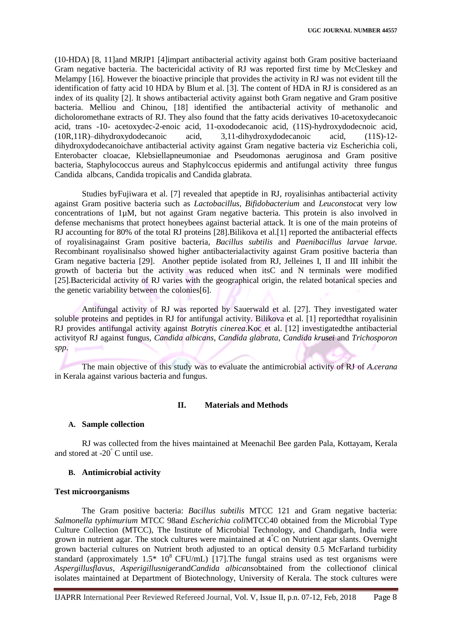(10-HDA) [8, 11]and MRJP1 [4]impart antibacterial activity against both Gram positive bacteriaand Gram negative bacteria. The bactericidal activity of RJ was reported first time by McCleskey and Melampy [16]. However the bioactive principle that provides the activity in RJ was not evident till the identification of fatty acid 10 HDA by Blum et al. [3]. The content of HDA in RJ is considered as an index of its quality [2]. It shows antibacterial activity against both Gram negative and Gram positive bacteria. Melliou and Chinou, [18] identified the antibacterial activity of methanolic and dicholoromethane extracts of RJ. They also found that the fatty acids derivatives 10-acetoxydecanoic acid, trans -10- acetoxydec-2-enoic acid, 11-oxododecanoic acid, (11S)-hydroxydodecnoic acid, (10R,11R)–dihydroxydodecanoic acid, 3,11-dihydroxydodecanoic acid, (11S)-12 dihydroxydodecanoichave antibacterial activity against Gram negative bacteria viz Escherichia coli, Enterobacter cloacae, Klebsiellapneumoniae and Pseudomonas aeruginosa and Gram positive bacteria, Staphylococcus aureus and Staphylcoccus epidermis and antifungal activity three fungus Candida albcans, Candida tropicalis and Candida glabrata.

Studies byFujiwara et al. [7] revealed that apeptide in RJ, royalisinhas antibacterial activity against Gram positive bacteria such as *Lactobacillus*, *Bifidobacterium* and *Leuconstoc*at very low concentrations of 1µM, but not against Gram negative bacteria. This protein is also involved in defense mechanisms that protect honeybees against bacterial attack. It is one of the main proteins of RJ accounting for 80% of the total RJ proteins [28].Bilikova et al.[1] reported the antibacterial effects of royalisinagainst Gram positive bacteria, *Bacillus subtilis* and *Paenibacillus larvae larvae.* Recombinant royalisinalso showed higher antibacterialactivity against Gram positive bacteria than Gram negative bacteria [29]. Another peptide isolated from RJ, Jelleines I, II and III inhibit the growth of bacteria but the activity was reduced when itsC and N terminals were modified [25].Bactericidal activity of RJ varies with the geographical origin, the related botanical species and the genetic variability between the colonies[6].

Antifungal activity of RJ was reported by Sauerwald et al. [27]. They investigated water soluble proteins and peptides in RJ for antifungal activity. Bilikova et al. [1] reportedthat royalisinin RJ provides antifungal activity against *Botrytis cinerea*.Koc et al. [12] investigatedthe antibacterial activityof RJ against fungus, *Candida albicans*, *Candida glabrata*, *Candida krusei* and *Trichosporon spp*.

The main objective of this study was to evaluate the antimicrobial activity of RJ of *A.cerana* in Kerala against various bacteria and fungus.

# **II. Materials and Methods**

## **A. Sample collection**

RJ was collected from the hives maintained at Meenachil Bee garden Pala, Kottayam, Kerala and stored at -20° C until use.

## **B. Antimicrobial activity**

#### **Test microorganisms**

The Gram positive bacteria: *Bacillus subtilis* MTCC 121 and Gram negative bacteria: *Salmonella typhimurium* MTCC 98and *Escherichia coli*MTCC40 obtained from the Microbial Type Culture Collection (MTCC), The Institute of Microbial Technology, and Chandigarh, India were grown in nutrient agar. The stock cultures were maintained at  $4^{\circ}$ C on Nutrient agar slants. Overnight grown bacterial cultures on Nutrient broth adjusted to an optical density 0.5 McFarland turbidity standard (approximately  $1.5^*$  10<sup>8</sup> CFU/mL) [17]. The fungal strains used as test organisms were *Aspergillusflavus, Asperigillusniger*and*Candida albicans*obtained from the collectionof clinical isolates maintained at Department of Biotechnology, University of Kerala. The stock cultures were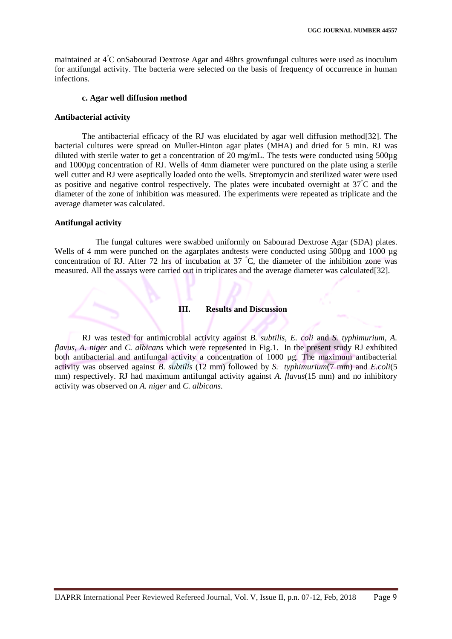maintained at 4°C onSabourad Dextrose Agar and 48hrs grownfungal cultures were used as inoculum for antifungal activity. The bacteria were selected on the basis of frequency of occurrence in human infections.

#### **c. Agar well diffusion method**

#### **Antibacterial activity**

The antibacterial efficacy of the RJ was elucidated by agar well diffusion method[32]. The bacterial cultures were spread on Muller-Hinton agar plates (MHA) and dried for 5 min. RJ was diluted with sterile water to get a concentration of 20 mg/mL. The tests were conducted using 500µg and 1000µg concentration of RJ. Wells of 4mm diameter were punctured on the plate using a sterile well cutter and RJ were aseptically loaded onto the wells. Streptomycin and sterilized water were used as positive and negative control respectively. The plates were incubated overnight at 37°C and the diameter of the zone of inhibition was measured. The experiments were repeated as triplicate and the average diameter was calculated.

#### **Antifungal activity**

The fungal cultures were swabbed uniformly on Sabourad Dextrose Agar (SDA) plates. Wells of 4 mm were punched on the agarplates and tests were conducted using 500µg and 1000 µg concentration of RJ. After 72 hrs of incubation at 37 °C, the diameter of the inhibition zone was measured. All the assays were carried out in triplicates and the average diameter was calculated[32].

#### **III. Results and Discussion**

RJ was tested for antimicrobial activity against *B. subtilis, E. coli* and *S. typhimurium*, *A. flavus, A. niger* and *C. albicans* which were represented in Fig.1. In the present study RJ exhibited both antibacterial and antifungal activity a concentration of 1000 µg. The maximum antibacterial activity was observed against *B. subtilis* (12 mm) followed by *S. typhimurium*(7 mm) and *E.coli*(5 mm) respectively. RJ had maximum antifungal activity against *A. flavus*(15 mm) and no inhibitory activity was observed on *A. niger* and *C. albicans.*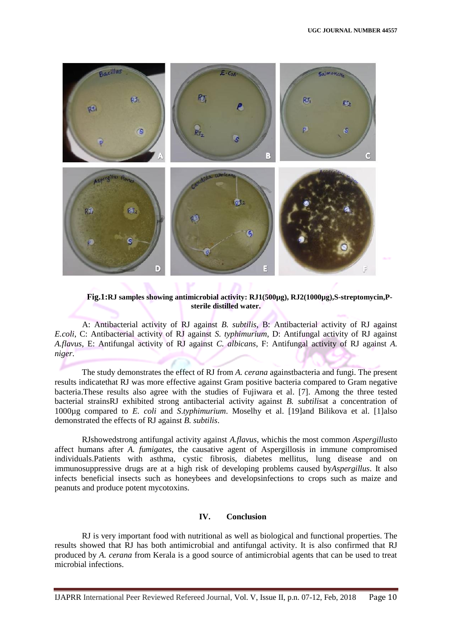

# **Fig.1:RJ samples showing antimicrobial activity: RJ1(500µg), RJ2(1000µg),S-streptomycin,Psterile distilled water.**

A: Antibacterial activity of RJ against *B. subtilis*, B: Antibacterial activity of RJ against *E.coli*, C: Antibacterial activity of RJ against *S. typhimurium*, D: Antifungal activity of RJ against *A.flavus*, E: Antifungal activity of RJ against *C. albicans*, F: Antifungal activity of RJ against *A. niger*.

The study demonstrates the effect of RJ from *A. cerana* againstbacteria and fungi. The present results indicatethat RJ was more effective against Gram positive bacteria compared to Gram negative bacteria.These results also agree with the studies of Fujiwara et al. [7]. Among the three tested bacterial strainsRJ exhibited strong antibacterial activity against *B. subtilis*at a concentration of 1000µg compared to *E. coli* and *S*.*typhimurium*. Moselhy et al. [19]and Bilikova et al. [1]also demonstrated the effects of RJ against *B. subtilis*.

RJshowedstrong antifungal activity against *A.flavus*, whichis the most common *Aspergillus*to affect humans after *A. fumigates*, the causative agent of Aspergillosis in immune compromised individuals.Patients with asthma, cystic fibrosis, diabetes mellitus, lung disease and on immunosuppressive drugs are at a high risk of developing problems caused by*Aspergillus*. It also infects beneficial insects such as honeybees and developsinfections to crops such as maize and peanuts and produce potent mycotoxins.

# **IV. Conclusion**

RJ is very important food with nutritional as well as biological and functional properties. The results showed that RJ has both antimicrobial and antifungal activity. It is also confirmed that RJ produced by *A. cerana* from Kerala is a good source of antimicrobial agents that can be used to treat microbial infections.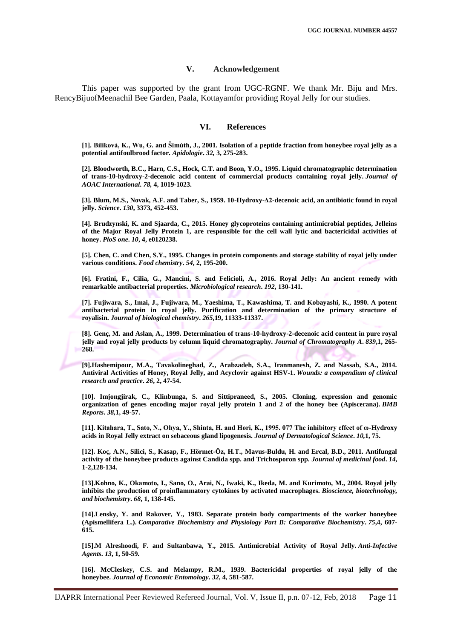#### **V. Acknowledgement**

This paper was supported by the grant from UGC-RGNF. We thank Mr. Biju and Mrs. RencyBijuofMeenachil Bee Garden, Paala, Kottayamfor providing Royal Jelly for our studies.

#### **VI. References**

**[1]. Bíliková, K., Wu, G. and Šimúth, J., 2001. Isolation of a peptide fraction from honeybee royal jelly as a potential antifoulbrood factor.** *Apidologie***.** *32,* **3, 275-283.**

**[2]. Bloodworth, B.C., Harn, C.S., Hock, C.T. and Boon, Y.O., 1995. Liquid chromatographic determination of trans-10-hydroxy-2-decenoic acid content of commercial products containing royal jelly.** *Journal of AOAC International***.** *78,* **4, 1019-1023.**

**[3]. Blum, M.S., Novak, A.F. and Taber, S., 1959. 10-Hydroxy-Δ2-decenoic acid, an antibiotic found in royal jelly.** *Science***.** *130***, 3373, 452-453.**

**[4]. Brudzynski, K. and Sjaarda, C., 2015. Honey glycoproteins containing antimicrobial peptides, Jelleins of the Major Royal Jelly Protein 1, are responsible for the cell wall lytic and bactericidal activities of honey.** *PloS one***.** *10***, 4, e0120238.**

**[5]. Chen, C. and Chen, S.Y., 1995. Changes in protein components and storage stability of royal jelly under various conditions.** *Food chemistry***.** *54***, 2, 195-200.**

**[6]. Fratini, F., Cilia, G., Mancini, S. and Felicioli, A., 2016. Royal Jelly: An ancient remedy with remarkable antibacterial properties.** *Microbiological research***.** *192***, 130-141.**

**[7]. Fujiwara, S., Imai, J., Fujiwara, M., Yaeshima, T., Kawashima, T. and Kobayashi, K., 1990. A potent antibacterial protein in royal jelly. Purification and determination of the primary structure of royalisin.** *Journal of biological chemistry***.** *265***,19, 11333-11337.**

**[8]. Genç, M. and Aslan, A., 1999. Determination of trans-10-hydroxy-2-decenoic acid content in pure royal jelly and royal jelly products by column liquid chromatography.** *Journal of Chromatography A***.** *839***,1, 265- 268.**

**[9].Hashemipour, M.A., Tavakolineghad, Z., Arabzadeh, S.A., Iranmanesh, Z. and Nassab, S.A., 2014. Antiviral Activities of Honey, Royal Jelly, and Acyclovir against HSV-1.** *Wounds: a compendium of clinical research and practice***.** *26***, 2, 47-54.**

**[10]. Imjongjirak, C., Klinbunga, S. and Sittipraneed, S., 2005. Cloning, expression and genomic organization of genes encoding major royal jelly protein 1 and 2 of the honey bee (Apiscerana).** *BMB Reports***.** *38,***1, 49-57.**

**[11]. Kitahara, T., Sato, N., Ohya, Y., Shinta, H. and Hori, K., 1995. 077 The inhibitory effect of ω-Hydroxy acids in Royal Jelly extract on sebaceous gland lipogenesis.** *Journal of Dermatological Science***.** *10,***1, 75.**

**[12]. Koç, A.N., Silici, S., Kasap, F., Hörmet-Öz, H.T., Mavus-Buldu, H. and Ercal, B.D., 2011. Antifungal activity of the honeybee products against Candida spp. and Trichosporon spp.** *Journal of medicinal food***.** *14***, 1-2,128-134.**

**[13].Kohno, K., Okamoto, I., Sano, O., Arai, N., Iwaki, K., Ikeda, M. and Kurimoto, M., 2004. Royal jelly inhibits the production of proinflammatory cytokines by activated macrophages.** *Bioscience, biotechnology, and biochemistry***.** *68***, 1, 138-145.**

**[14].Lensky, Y. and Rakover, Y., 1983. Separate protein body compartments of the worker honeybee (Apismellifera L.).** *Comparative Biochemistry and Physiology Part B: Comparative Biochemistry***.** *75***,4, 607- 615.**

**[15].M Alreshoodi, F. and Sultanbawa, Y., 2015. Antimicrobial Activity of Royal Jelly.** *Anti-Infective Agents***.** *13***, 1, 50-59.**

**[16]. McCleskey, C.S. and Melampy, R.M., 1939. Bactericidal properties of royal jelly of the honeybee.** *Journal of Economic Entomology***.** *32***, 4, 581-587.**